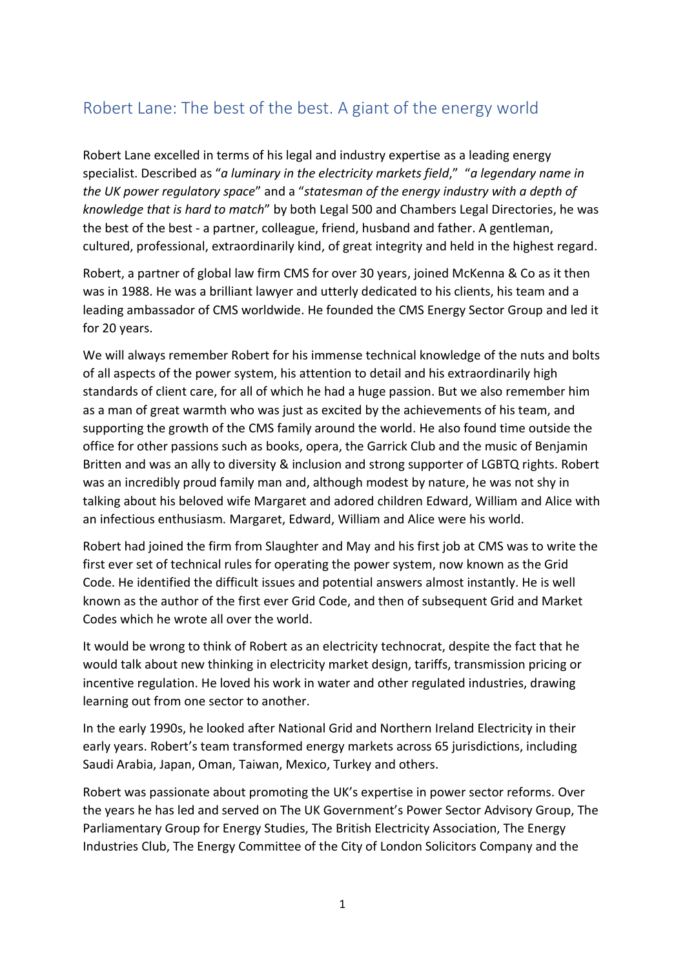## Robert Lane: The best of the best. A giant of the energy world

Robert Lane excelled in terms of his legal and industry expertise as a leading energy specialist. Described as "*a luminary in the electricity markets field*," "*a legendary name in the UK power regulatory space*" and a "*statesman of the energy industry with a depth of knowledge that is hard to match*" by both Legal 500 and Chambers Legal Directories, he was the best of the best - a partner, colleague, friend, husband and father. A gentleman, cultured, professional, extraordinarily kind, of great integrity and held in the highest regard.

Robert, a partner of global law firm CMS for over 30 years, joined McKenna & Co as it then was in 1988. He was a brilliant lawyer and utterly dedicated to his clients, his team and a leading ambassador of CMS worldwide. He founded the CMS Energy Sector Group and led it for 20 years.

We will always remember Robert for his immense technical knowledge of the nuts and bolts of all aspects of the power system, his attention to detail and his extraordinarily high standards of client care, for all of which he had a huge passion. But we also remember him as a man of great warmth who was just as excited by the achievements of his team, and supporting the growth of the CMS family around the world. He also found time outside the office for other passions such as books, opera, the Garrick Club and the music of Benjamin Britten and was an ally to diversity & inclusion and strong supporter of LGBTQ rights. Robert was an incredibly proud family man and, although modest by nature, he was not shy in talking about his beloved wife Margaret and adored children Edward, William and Alice with an infectious enthusiasm. Margaret, Edward, William and Alice were his world.

Robert had joined the firm from Slaughter and May and his first job at CMS was to write the first ever set of technical rules for operating the power system, now known as the Grid Code. He identified the difficult issues and potential answers almost instantly. He is well known as the author of the first ever Grid Code, and then of subsequent Grid and Market Codes which he wrote all over the world.

It would be wrong to think of Robert as an electricity technocrat, despite the fact that he would talk about new thinking in electricity market design, tariffs, transmission pricing or incentive regulation. He loved his work in water and other regulated industries, drawing learning out from one sector to another.

In the early 1990s, he looked after National Grid and Northern Ireland Electricity in their early years. Robert's team transformed energy markets across 65 jurisdictions, including Saudi Arabia, Japan, Oman, Taiwan, Mexico, Turkey and others.

Robert was passionate about promoting the UK's expertise in power sector reforms. Over the years he has led and served on The UK Government's Power Sector Advisory Group, The Parliamentary Group for Energy Studies, The British Electricity Association, The Energy Industries Club, The Energy Committee of the City of London Solicitors Company and the